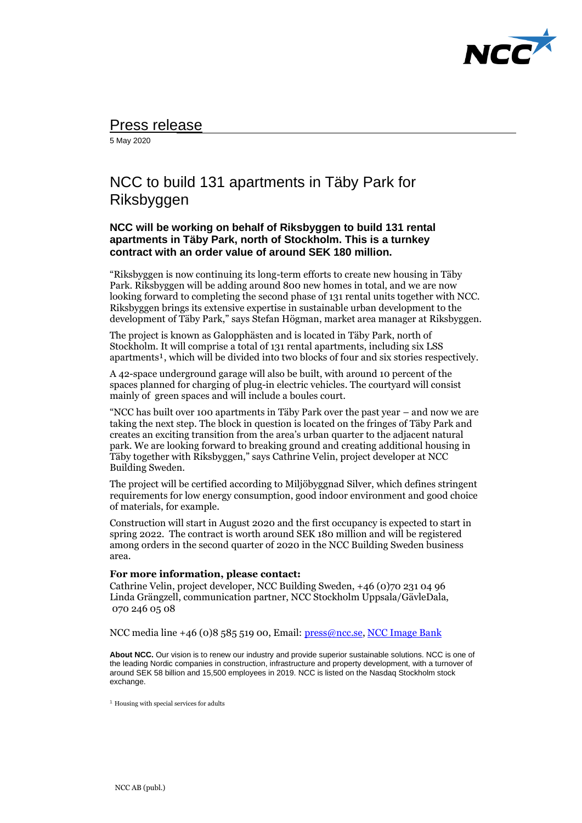

## Press release

5 May 2020

## NCC to build 131 apartments in Täby Park for Riksbyggen

## **NCC will be working on behalf of Riksbyggen to build 131 rental apartments in Täby Park, north of Stockholm. This is a turnkey contract with an order value of around SEK 180 million.**

"Riksbyggen is now continuing its long-term efforts to create new housing in Täby Park. Riksbyggen will be adding around 800 new homes in total, and we are now looking forward to completing the second phase of 131 rental units together with NCC. Riksbyggen brings its extensive expertise in sustainable urban development to the development of Täby Park," says Stefan Högman, market area manager at Riksbyggen.

The project is known as Galopphästen and is located in Täby Park, north of Stockholm. It will comprise a total of 131 rental apartments, including six LSS apartments<sup>1</sup>, which will be divided into two blocks of four and six stories respectively.

A 42-space underground garage will also be built, with around 10 percent of the spaces planned for charging of plug-in electric vehicles. The courtyard will consist mainly of green spaces and will include a boules court.

"NCC has built over 100 apartments in Täby Park over the past year – and now we are taking the next step. The block in question is located on the fringes of Täby Park and creates an exciting transition from the area's urban quarter to the adjacent natural park. We are looking forward to breaking ground and creating additional housing in Täby together with Riksbyggen," says Cathrine Velin, project developer at NCC Building Sweden.

The project will be certified according to Miljöbyggnad Silver, which defines stringent requirements for low energy consumption, good indoor environment and good choice of materials, for example.

Construction will start in August 2020 and the first occupancy is expected to start in spring 2022. The contract is worth around SEK 180 million and will be registered among orders in the second quarter of 2020 in the NCC Building Sweden business area.

## **For more information, please contact:**

Cathrine Velin, project developer, NCC Building Sweden, +46 (0)70 231 04 96 Linda Grängzell, communication partner, NCC Stockholm Uppsala/GävleDala, 070 246 05 08

NCC media line +46 (0)8 585 519 00, Email: [press@ncc.se,](mailto:press@ncc.se) NCC Image Bank

**About NCC.** Our vision is to renew our industry and provide superior sustainable solutions. NCC is one of the leading Nordic companies in construction, infrastructure and property development, with a turnover of around SEK 58 billion and 15,500 employees in 2019. NCC is listed on the Nasdaq Stockholm stock exchange.

 $<sup>1</sup>$  Housing with special services for adults</sup>